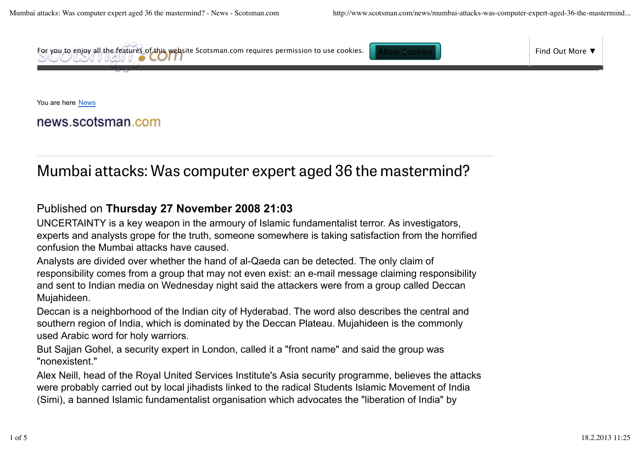

You are here News

news scotsman com

## Mumbai attacks: Was computer expert aged 36 the mastermind?

## Published on **Thursday 27 November 2008 21:03**

UNCERTAINTY is a key weapon in the armoury of Islamic fundamentalist terror. As investigators, experts and analysts grope for the truth, someone somewhere is taking satisfaction from the horrified confusion the Mumbai attacks have caused.

Analysts are divided over whether the hand of al-Qaeda can be detected. The only claim of responsibility comes from a group that may not even exist: an e-mail message claiming responsibility and sent to Indian media on Wednesday night said the attackers were from a group called Deccan Mujahideen.

Deccan is a neighborhood of the Indian city of Hyderabad. The word also describes the central and southern region of India, which is dominated by the Deccan Plateau. Mujahideen is the commonly used Arabic word for holy warriors.

But Sajjan Gohel, a security expert in London, called it a "front name" and said the group was "nonexistent."

Alex Neill, head of the Royal United Services Institute's Asia security programme, believes the attacks were probably carried out by local jihadists linked to the radical Students Islamic Movement of India (Simi), a banned Islamic fundamentalist organisation which advocates the "liberation of India" by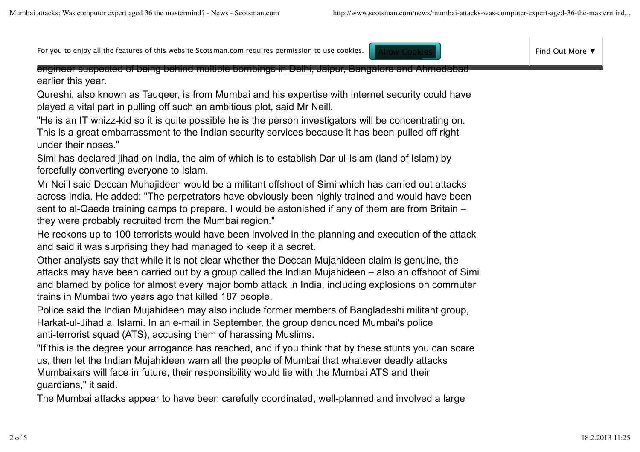engineer suspected of being behind multiple bombings in Delhi, Jaipur, Bangalore and Ahmedabad earlier this year.

Qureshi, also known as Tauqeer, is from Mumbai and his expertise with internet security could have played a vital part in pulling off such an ambitious plot, said Mr Neill.

"He is an IT whizz-kid so it is quite possible he is the person investigators will be concentrating on. This is a great embarrassment to the Indian security services because it has been pulled off right under their noses."

Simi has declared jihad on India, the aim of which is to establish Dar-ul-Islam (land of Islam) by forcefully converting everyone to Islam.

Mr Neill said Deccan Muhajideen would be a militant offshoot of Simi which has carried out attacks across India. He added: "The perpetrators have obviously been highly trained and would have been sent to al-Qaeda training camps to prepare. I would be astonished if any of them are from Britain – they were probably recruited from the Mumbai region."

He reckons up to 100 terrorists would have been involved in the planning and execution of the attack and said it was surprising they had managed to keep it a secret.

Other analysts say that while it is not clear whether the Deccan Mujahideen claim is genuine, the attacks may have been carried out by a group called the Indian Mujahideen – also an offshoot of Simi and blamed by police for almost every major bomb attack in India, including explosions on commuter trains in Mumbai two years ago that killed 187 people.

Police said the Indian Mujahideen may also include former members of Bangladeshi militant group, Harkat-ul-Jihad al Islami. In an e-mail in September, the group denounced Mumbai's police anti-terrorist squad (ATS), accusing them of harassing Muslims.

"If this is the degree your arrogance has reached, and if you think that by these stunts you can scare us, then let the Indian Mujahideen warn all the people of Mumbai that whatever deadly attacks Mumbaikars will face in future, their responsibility would lie with the Mumbai ATS and their guardians," it said.

The Mumbai attacks appear to have been carefully coordinated, well-planned and involved a large

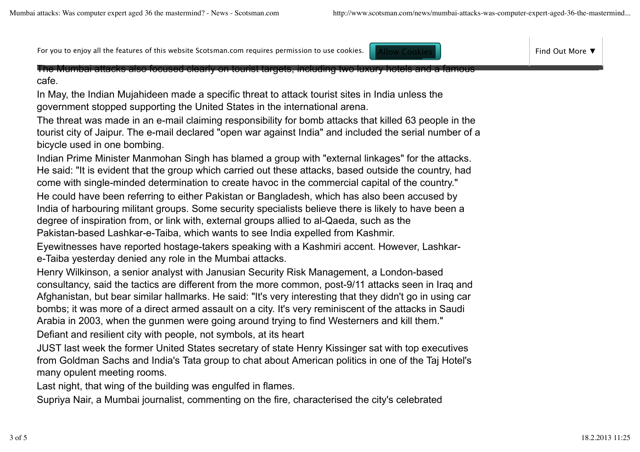The Mumbai attacks also focused clearly on tourist targets, including two luxury hotels and a famous cafe.

In May, the Indian Mujahideen made a specific threat to attack tourist sites in India unless the government stopped supporting the United States in the international arena.

The threat was made in an e-mail claiming responsibility for bomb attacks that killed 63 people in the tourist city of Jaipur. The e-mail declared "open war against India" and included the serial number of a bicycle used in one bombing.

Indian Prime Minister Manmohan Singh has blamed a group with "external linkages" for the attacks. He said: "It is evident that the group which carried out these attacks, based outside the country, had come with single-minded determination to create havoc in the commercial capital of the country."

He could have been referring to either Pakistan or Bangladesh, which has also been accused by India of harbouring militant groups. Some security specialists believe there is likely to have been a degree of inspiration from, or link with, external groups allied to al-Qaeda, such as the Pakistan-based Lashkar-e-Taiba, which wants to see India expelled from Kashmir.

Eyewitnesses have reported hostage-takers speaking with a Kashmiri accent. However, Lashkare-Taiba yesterday denied any role in the Mumbai attacks.

Henry Wilkinson, a senior analyst with Janusian Security Risk Management, a London-based consultancy, said the tactics are different from the more common, post-9/11 attacks seen in Iraq and Afghanistan, but bear similar hallmarks. He said: "It's very interesting that they didn't go in using car bombs; it was more of a direct armed assault on a city. It's very reminiscent of the attacks in Saudi Arabia in 2003, when the gunmen were going around trying to find Westerners and kill them." Defiant and resilient city with people, not symbols, at its heart

JUST last week the former United States secretary of state Henry Kissinger sat with top executives from Goldman Sachs and India's Tata group to chat about American politics in one of the Taj Hotel's many opulent meeting rooms.

Last night, that wing of the building was engulfed in flames.

Supriya Nair, a Mumbai journalist, commenting on the fire, characterised the city's celebrated

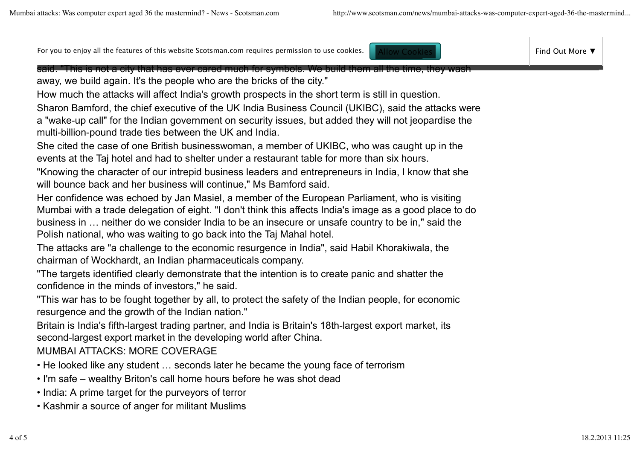said. "This is not a city that has ever cared much for symbols. We build them all the time, they wash away, we build again. It's the people who are the bricks of the city."

How much the attacks will affect India's growth prospects in the short term is still in question.

Sharon Bamford, the chief executive of the UK India Business Council (UKIBC), said the attacks were a "wake-up call" for the Indian government on security issues, but added they will not jeopardise the multi-billion-pound trade ties between the UK and India.

She cited the case of one British businesswoman, a member of UKIBC, who was caught up in the events at the Taj hotel and had to shelter under a restaurant table for more than six hours.

"Knowing the character of our intrepid business leaders and entrepreneurs in India, I know that she will bounce back and her business will continue." Ms Bamford said.

Her confidence was echoed by Jan Masiel, a member of the European Parliament, who is visiting Mumbai with a trade delegation of eight. "I don't think this affects India's image as a good place to do business in … neither do we consider India to be an insecure or unsafe country to be in," said the Polish national, who was waiting to go back into the Taj Mahal hotel.

The attacks are "a challenge to the economic resurgence in India", said Habil Khorakiwala, the chairman of Wockhardt, an Indian pharmaceuticals company.

"The targets identified clearly demonstrate that the intention is to create panic and shatter the confidence in the minds of investors," he said.

"This war has to be fought together by all, to protect the safety of the Indian people, for economic resurgence and the growth of the Indian nation."

Britain is India's fifth-largest trading partner, and India is Britain's 18th-largest export market, its second-largest export market in the developing world after China.

MUMBAI ATTACKS: MORE COVERAGE

- He looked like any student … seconds later he became the young face of terrorism
- I'm safe wealthy Briton's call home hours before he was shot dead
- India: A prime target for the purveyors of terror
- Kashmir a source of anger for militant Muslims